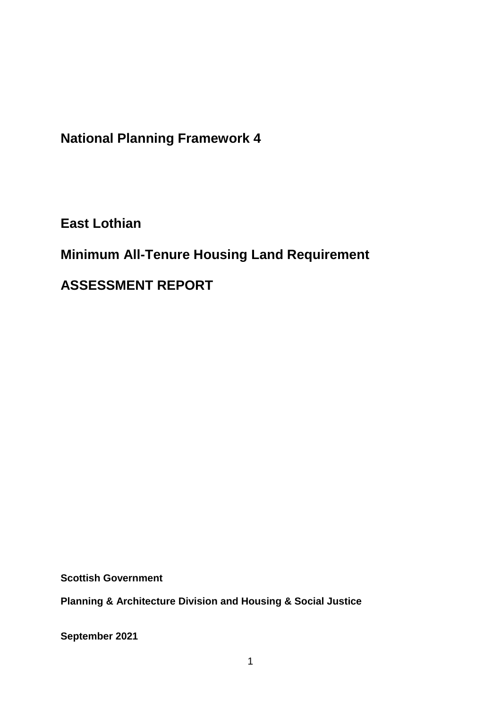**National Planning Framework 4**

**East Lothian**

**Minimum All-Tenure Housing Land Requirement** 

**ASSESSMENT REPORT**

**Scottish Government**

**Planning & Architecture Division and Housing & Social Justice** 

**September 2021**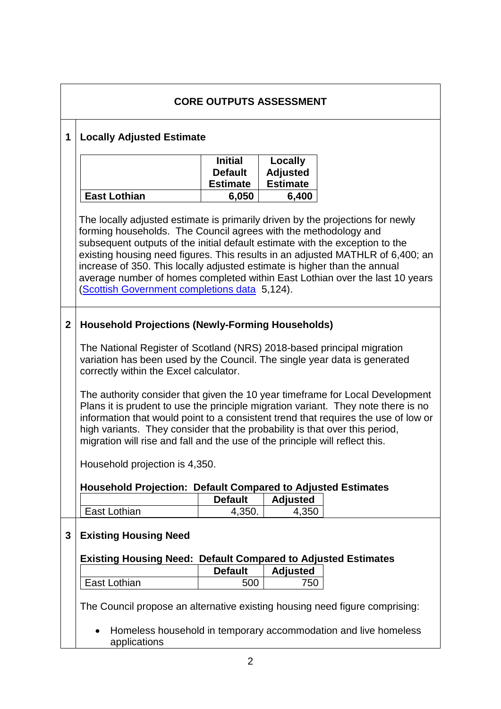| <b>CORE OUTPUTS ASSESSMENT</b> |                                                                                                                                                                                                                                                                                                                                                                                                                                                                                                                                                                                                                                                                                                                                                                                              |                                                              |                                                        |  |  |
|--------------------------------|----------------------------------------------------------------------------------------------------------------------------------------------------------------------------------------------------------------------------------------------------------------------------------------------------------------------------------------------------------------------------------------------------------------------------------------------------------------------------------------------------------------------------------------------------------------------------------------------------------------------------------------------------------------------------------------------------------------------------------------------------------------------------------------------|--------------------------------------------------------------|--------------------------------------------------------|--|--|
| 1                              | <b>Locally Adjusted Estimate</b>                                                                                                                                                                                                                                                                                                                                                                                                                                                                                                                                                                                                                                                                                                                                                             |                                                              |                                                        |  |  |
|                                | East Lothian                                                                                                                                                                                                                                                                                                                                                                                                                                                                                                                                                                                                                                                                                                                                                                                 | <b>Initial</b><br><b>Default</b><br><b>Estimate</b><br>6,050 | Locally<br><b>Adjusted</b><br><b>Estimate</b><br>6,400 |  |  |
|                                | The locally adjusted estimate is primarily driven by the projections for newly<br>forming households. The Council agrees with the methodology and<br>subsequent outputs of the initial default estimate with the exception to the<br>existing housing need figures. This results in an adjusted MATHLR of 6,400; an<br>increase of 350. This locally adjusted estimate is higher than the annual<br>average number of homes completed within East Lothian over the last 10 years<br>(Scottish Government completions data 5,124).                                                                                                                                                                                                                                                            |                                                              |                                                        |  |  |
| $\mathbf 2$                    | <b>Household Projections (Newly-Forming Households)</b><br>The National Register of Scotland (NRS) 2018-based principal migration<br>variation has been used by the Council. The single year data is generated<br>correctly within the Excel calculator.<br>The authority consider that given the 10 year timeframe for Local Development<br>Plans it is prudent to use the principle migration variant. They note there is no<br>information that would point to a consistent trend that requires the use of low or<br>high variants. They consider that the probability is that over this period,<br>migration will rise and fall and the use of the principle will reflect this.<br>Household projection is 4,350.<br><b>Household Projection: Default Compared to Adjusted Estimates</b> |                                                              |                                                        |  |  |
|                                | East Lothian                                                                                                                                                                                                                                                                                                                                                                                                                                                                                                                                                                                                                                                                                                                                                                                 | <b>Default</b><br>4,350.                                     | <b>Adjusted</b><br>4,350                               |  |  |
| 3                              | <b>Existing Housing Need</b><br><b>Existing Housing Need: Default Compared to Adjusted Estimates</b>                                                                                                                                                                                                                                                                                                                                                                                                                                                                                                                                                                                                                                                                                         |                                                              |                                                        |  |  |
|                                |                                                                                                                                                                                                                                                                                                                                                                                                                                                                                                                                                                                                                                                                                                                                                                                              | <b>Default</b>                                               | <b>Adjusted</b>                                        |  |  |
|                                | East Lothian                                                                                                                                                                                                                                                                                                                                                                                                                                                                                                                                                                                                                                                                                                                                                                                 | 500                                                          | 750                                                    |  |  |
|                                | The Council propose an alternative existing housing need figure comprising:<br>Homeless household in temporary accommodation and live homeless<br>applications                                                                                                                                                                                                                                                                                                                                                                                                                                                                                                                                                                                                                               |                                                              |                                                        |  |  |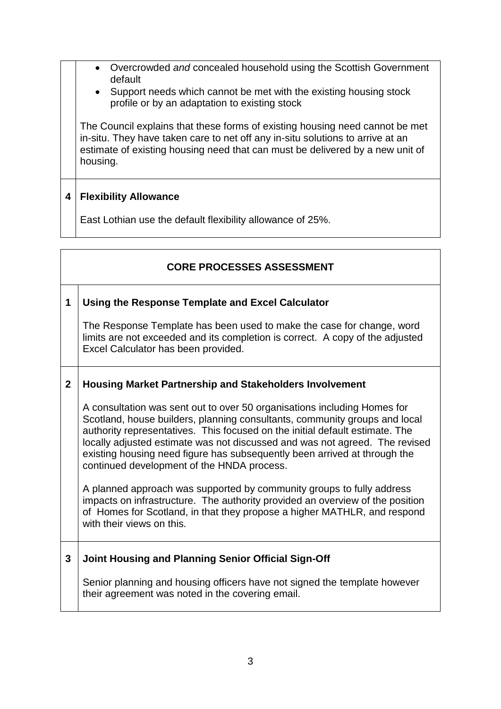- Overcrowded *and* concealed household using the Scottish Government default
	- Support needs which cannot be met with the existing housing stock profile or by an adaptation to existing stock

The Council explains that these forms of existing housing need cannot be met in-situ. They have taken care to net off any in-situ solutions to arrive at an estimate of existing housing need that can must be delivered by a new unit of housing.

## **4 Flexibility Allowance**

East Lothian use the default flexibility allowance of 25%.

# **CORE PROCESSES ASSESSMENT**

### **1 Using the Response Template and Excel Calculator**

The Response Template has been used to make the case for change, word limits are not exceeded and its completion is correct. A copy of the adjusted Excel Calculator has been provided.

### **2 Housing Market Partnership and Stakeholders Involvement**

A consultation was sent out to over 50 organisations including Homes for Scotland, house builders, planning consultants, community groups and local authority representatives. This focused on the initial default estimate. The locally adjusted estimate was not discussed and was not agreed. The revised existing housing need figure has subsequently been arrived at through the continued development of the HNDA process.

A planned approach was supported by community groups to fully address impacts on infrastructure. The authority provided an overview of the position of Homes for Scotland, in that they propose a higher MATHLR, and respond with their views on this.

### **3 Joint Housing and Planning Senior Official Sign-Off**

Senior planning and housing officers have not signed the template however their agreement was noted in the covering email.